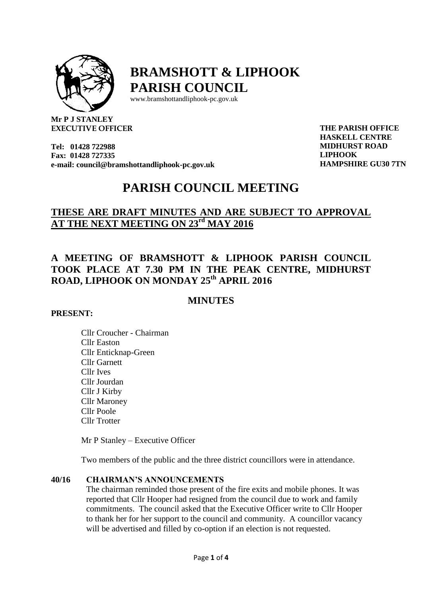

# **BRAMSHOTT & LIPHOOK PARISH COUNCIL**

[www.bramshottandl](http://www.bramshottand/)iphook-pc.gov.uk

**Mr P J STANLEY EXECUTIVE OFFICER**

**Tel: 01428 722988 Fax: 01428 727335 e-mail[: council@bramshottandliphook-pc.gov.uk](mailto:council@bramshottandliphook-pc.gov.uk)** **THE PARISH OFFICE HASKELL CENTRE HASKELL CENTRE MIDHURST ROAD MIDHURST ROAD LIPHOOK** *LIPHOOK* **HAMPSHIRE GU30 7TN**

# **PARISH COUNCIL MEETING**

# **THESE ARE DRAFT MINUTES AND ARE SUBJECT TO APPROVAL AT THE NEXT MEETING ON 23rd MAY 2016**

# **A MEETING OF BRAMSHOTT & LIPHOOK PARISH COUNCIL TOOK PLACE AT 7.30 PM IN THE PEAK CENTRE, MIDHURST ROAD, LIPHOOK ON MONDAY 25th APRIL 2016**

# **MINUTES**

# **PRESENT:**

Cllr Croucher - Chairman Cllr Easton Cllr Enticknap-Green Cllr Garnett Cllr Ives Cllr Jourdan Cllr J Kirby Cllr Maroney Cllr Poole Cllr Trotter

Mr P Stanley – Executive Officer

Two members of the public and the three district councillors were in attendance.

## **40/16 CHAIRMAN'S ANNOUNCEMENTS**

The chairman reminded those present of the fire exits and mobile phones. It was reported that Cllr Hooper had resigned from the council due to work and family commitments. The council asked that the Executive Officer write to Cllr Hooper to thank her for her support to the council and community. A councillor vacancy will be advertised and filled by co-option if an election is not requested.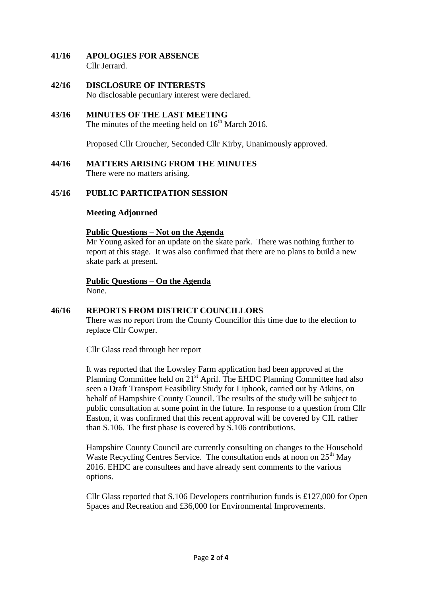- **41/16 APOLOGIES FOR ABSENCE** Cllr Jerrard.
- **42/16 DISCLOSURE OF INTERESTS** No disclosable pecuniary interest were declared.
- **43/16 MINUTES OF THE LAST MEETING** The minutes of the meeting held on  $16<sup>th</sup>$  March 2016.

Proposed Cllr Croucher, Seconded Cllr Kirby, Unanimously approved.

**44/16 MATTERS ARISING FROM THE MINUTES** There were no matters arising.

# **45/16 PUBLIC PARTICIPATION SESSION**

#### **Meeting Adjourned**

#### **Public Questions – Not on the Agenda**

Mr Young asked for an update on the skate park. There was nothing further to report at this stage. It was also confirmed that there are no plans to build a new skate park at present.

**Public Questions – On the Agenda** None.

# **46/16 REPORTS FROM DISTRICT COUNCILLORS**

There was no report from the County Councillor this time due to the election to replace Cllr Cowper.

Cllr Glass read through her report

It was reported that the Lowsley Farm application had been approved at the Planning Committee held on 21<sup>st</sup> April. The EHDC Planning Committee had also seen a Draft Transport Feasibility Study for Liphook, carried out by Atkins, on behalf of Hampshire County Council. The results of the study will be subject to public consultation at some point in the future. In response to a question from Cllr Easton, it was confirmed that this recent approval will be covered by CIL rather than S.106. The first phase is covered by S.106 contributions.

Hampshire County Council are currently consulting on changes to the Household Waste Recycling Centres Service. The consultation ends at noon on 25<sup>th</sup> May 2016. EHDC are consultees and have already sent comments to the various options.

Cllr Glass reported that S.106 Developers contribution funds is £127,000 for Open Spaces and Recreation and £36,000 for Environmental Improvements.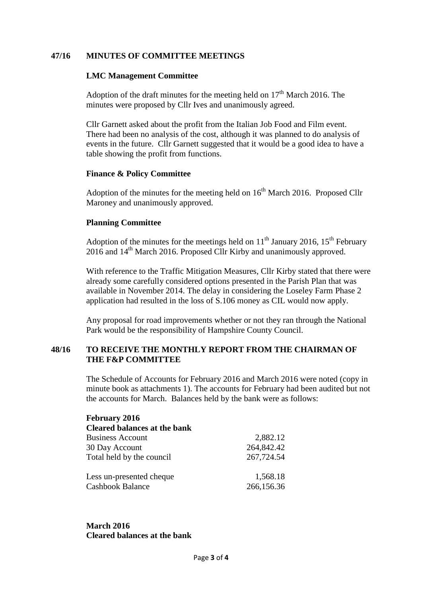# **47/16 MINUTES OF COMMITTEE MEETINGS**

#### **LMC Management Committee**

Adoption of the draft minutes for the meeting held on  $17<sup>th</sup>$  March 2016. The minutes were proposed by Cllr Ives and unanimously agreed.

Cllr Garnett asked about the profit from the Italian Job Food and Film event. There had been no analysis of the cost, although it was planned to do analysis of events in the future. Cllr Garnett suggested that it would be a good idea to have a table showing the profit from functions.

#### **Finance & Policy Committee**

Adoption of the minutes for the meeting held on  $16<sup>th</sup>$  March 2016. Proposed Cllr Maroney and unanimously approved.

# **Planning Committee**

Adoption of the minutes for the meetings held on  $11<sup>th</sup>$  January 2016,  $15<sup>th</sup>$  February 2016 and 14th March 2016. Proposed Cllr Kirby and unanimously approved.

With reference to the Traffic Mitigation Measures, Cllr Kirby stated that there were already some carefully considered options presented in the Parish Plan that was available in November 2014. The delay in considering the Loseley Farm Phase 2 application had resulted in the loss of S.106 money as CIL would now apply.

Any proposal for road improvements whether or not they ran through the National Park would be the responsibility of Hampshire County Council.

# **48/16 TO RECEIVE THE MONTHLY REPORT FROM THE CHAIRMAN OF THE F&P COMMITTEE**

The Schedule of Accounts for February 2016 and March 2016 were noted (copy in minute book as attachments 1). The accounts for February had been audited but not the accounts for March. Balances held by the bank were as follows:

| <b>February 2016</b>                |            |
|-------------------------------------|------------|
| <b>Cleared balances at the bank</b> |            |
| <b>Business Account</b>             | 2,882.12   |
| 30 Day Account                      | 264,842.42 |
| Total held by the council           | 267,724.54 |
| Less un-presented cheque            | 1,568.18   |
| <b>Cashbook Balance</b>             | 266,156.36 |

**March 2016 Cleared balances at the bank**